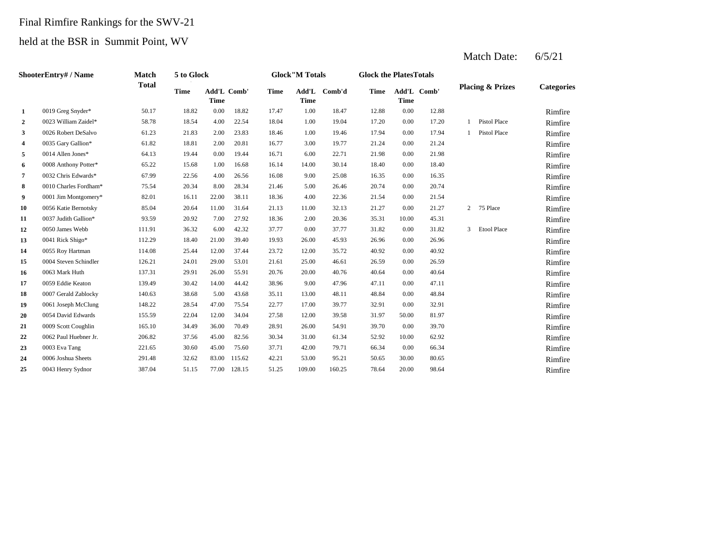#### Final Rimfire Rankings for the SWV-21

#### held at the BSR in Summit Point, WV

|                | ShooterEntry# / Name  | <b>Match</b> | 5 to Glock  |                                   |        |             | <b>Glock</b> "M Totals |        | <b>Glock the PlatesTotals</b> |             |             |                |                             |                   |
|----------------|-----------------------|--------------|-------------|-----------------------------------|--------|-------------|------------------------|--------|-------------------------------|-------------|-------------|----------------|-----------------------------|-------------------|
|                |                       | <b>Total</b> | <b>Time</b> | <b>Add'L Comb'</b><br><b>Time</b> |        | <b>Time</b> | Add'L<br><b>Time</b>   | Comb'd | Time                          | <b>Time</b> | Add'L Comb' |                | <b>Placing &amp; Prizes</b> | <b>Categories</b> |
| 1              | 0019 Greg Snyder*     | 50.17        | 18.82       | 0.00                              | 18.82  | 17.47       | 1.00                   | 18.47  | 12.88                         | 0.00        | 12.88       |                |                             | Rimfire           |
| $\overline{2}$ | 0023 William Zaidel*  | 58.78        | 18.54       | 4.00                              | 22.54  | 18.04       | 1.00                   | 19.04  | 17.20                         | 0.00        | 17.20       | 1              | Pistol Place                | Rimfire           |
| 3              | 0026 Robert DeSalvo   | 61.23        | 21.83       | 2.00                              | 23.83  | 18.46       | 1.00                   | 19.46  | 17.94                         | 0.00        | 17.94       |                | Pistol Place                | Rimfire           |
| 4              | 0035 Gary Gallion*    | 61.82        | 18.81       | 2.00                              | 20.81  | 16.77       | 3.00                   | 19.77  | 21.24                         | 0.00        | 21.24       |                |                             | Rimfire           |
| 5              | 0014 Allen Jones*     | 64.13        | 19.44       | 0.00                              | 19.44  | 16.71       | 6.00                   | 22.71  | 21.98                         | 0.00        | 21.98       |                |                             | Rimfire           |
| 6              | 0008 Anthony Potter*  | 65.22        | 15.68       | 1.00                              | 16.68  | 16.14       | 14.00                  | 30.14  | 18.40                         | 0.00        | 18.40       |                |                             | Rimfire           |
| 7              | 0032 Chris Edwards*   | 67.99        | 22.56       | 4.00                              | 26.56  | 16.08       | 9.00                   | 25.08  | 16.35                         | 0.00        | 16.35       |                |                             | Rimfire           |
| 8              | 0010 Charles Fordham* | 75.54        | 20.34       | 8.00                              | 28.34  | 21.46       | 5.00                   | 26.46  | 20.74                         | 0.00        | 20.74       |                |                             | Rimfire           |
| 9              | 0001 Jim Montgomery*  | 82.01        | 16.11       | 22.00                             | 38.11  | 18.36       | 4.00                   | 22.36  | 21.54                         | 0.00        | 21.54       |                |                             | Rimfire           |
| 10             | 0056 Katie Bernotsky  | 85.04        | 20.64       | 11.00                             | 31.64  | 21.13       | 11.00                  | 32.13  | 21.27                         | 0.00        | 21.27       | $\overline{2}$ | 75 Place                    | Rimfire           |
| 11             | 0037 Judith Gallion*  | 93.59        | 20.92       | 7.00                              | 27.92  | 18.36       | 2.00                   | 20.36  | 35.31                         | 10.00       | 45.31       |                |                             | Rimfire           |
| 12             | 0050 James Webb       | 111.91       | 36.32       | 6.00                              | 42.32  | 37.77       | 0.00                   | 37.77  | 31.82                         | 0.00        | 31.82       | 3              | <b>Etool Place</b>          | Rimfire           |
| 13             | 0041 Rick Shigo*      | 112.29       | 18.40       | 21.00                             | 39.40  | 19.93       | 26.00                  | 45.93  | 26.96                         | 0.00        | 26.96       |                |                             | Rimfire           |
| 14             | 0055 Roy Hartman      | 114.08       | 25.44       | 12.00                             | 37.44  | 23.72       | 12.00                  | 35.72  | 40.92                         | 0.00        | 40.92       |                |                             | Rimfire           |
| 15             | 0004 Steven Schindler | 126.21       | 24.01       | 29.00                             | 53.01  | 21.61       | 25.00                  | 46.61  | 26.59                         | 0.00        | 26.59       |                |                             | Rimfire           |
| 16             | 0063 Mark Huth        | 137.31       | 29.91       | 26.00                             | 55.91  | 20.76       | 20.00                  | 40.76  | 40.64                         | 0.00        | 40.64       |                |                             | Rimfire           |
| 17             | 0059 Eddie Keaton     | 139.49       | 30.42       | 14.00                             | 44.42  | 38.96       | 9.00                   | 47.96  | 47.11                         | 0.00        | 47.11       |                |                             | Rimfire           |
| 18             | 0007 Gerald Zablocky  | 140.63       | 38.68       | 5.00                              | 43.68  | 35.11       | 13.00                  | 48.11  | 48.84                         | 0.00        | 48.84       |                |                             | Rimfire           |
| 19             | 0061 Joseph McClung   | 148.22       | 28.54       | 47.00                             | 75.54  | 22.77       | 17.00                  | 39.77  | 32.91                         | 0.00        | 32.91       |                |                             | Rimfire           |
| 20             | 0054 David Edwards    | 155.59       | 22.04       | 12.00                             | 34.04  | 27.58       | 12.00                  | 39.58  | 31.97                         | 50.00       | 81.97       |                |                             | Rimfire           |
| 21             | 0009 Scott Coughlin   | 165.10       | 34.49       | 36.00                             | 70.49  | 28.91       | 26.00                  | 54.91  | 39.70                         | 0.00        | 39.70       |                |                             | Rimfire           |
| 22             | 0062 Paul Huebner Jr. | 206.82       | 37.56       | 45.00                             | 82.56  | 30.34       | 31.00                  | 61.34  | 52.92                         | 10.00       | 62.92       |                |                             | Rimfire           |
| 23             | 0003 Eva Tang         | 221.65       | 30.60       | 45.00                             | 75.60  | 37.71       | 42.00                  | 79.71  | 66.34                         | 0.00        | 66.34       |                |                             | Rimfire           |
| 24             | 0006 Joshua Sheets    | 291.48       | 32.62       | 83.00                             | 115.62 | 42.21       | 53.00                  | 95.21  | 50.65                         | 30.00       | 80.65       |                |                             | Rimfire           |
| 25             | 0043 Henry Sydnor     | 387.04       | 51.15       | 77.00                             | 128.15 | 51.25       | 109.00                 | 160.25 | 78.64                         | 20.00       | 98.64       |                |                             | Rimfire           |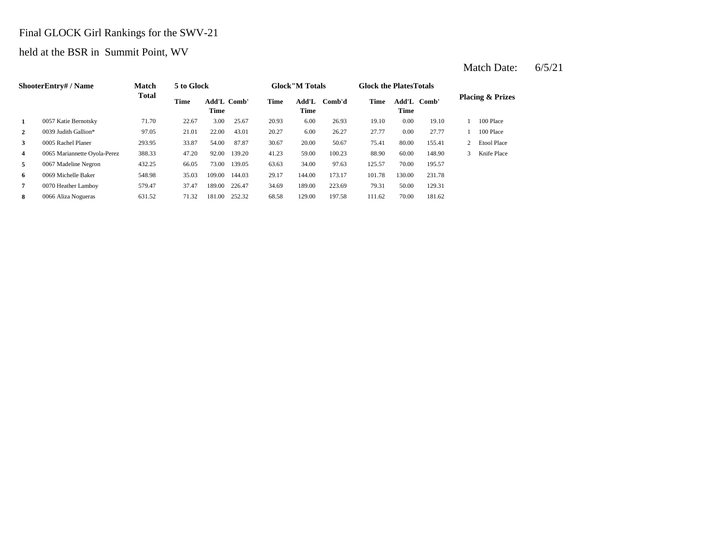### Final GLOCK Girl Rankings for the SWV-21

### held at the BSR in Summit Point, WV

|   | <b>ShooterEntry#/Name</b>    | <b>Match</b> | 5 to Glock |                     |        |       | <b>Glock</b> "M Totals |        | <b>Glock the Plates Totals</b> |               |        |   |                             |
|---|------------------------------|--------------|------------|---------------------|--------|-------|------------------------|--------|--------------------------------|---------------|--------|---|-----------------------------|
|   |                              | <b>Total</b> | Time       | Add'L Comb'<br>Time |        | Time  | Add'L<br>Time          | Comb'd | Time                           | Add'L<br>Time | Comb'  |   | <b>Placing &amp; Prizes</b> |
| 1 | 0057 Katie Bernotsky         | 71.70        | 22.67      | 3.00                | 25.67  | 20.93 | 6.00                   | 26.93  | 19.10                          | 0.00          | 19.10  |   | 100 Place                   |
| 2 | 0039 Judith Gallion*         | 97.05        | 21.01      | 22.00               | 43.01  | 20.27 | 6.00                   | 26.27  | 27.77                          | 0.00          | 27.77  |   | 100 Place                   |
| 3 | 0005 Rachel Planer           | 293.95       | 33.87      | 54.00               | 87.87  | 30.67 | 20.00                  | 50.67  | 75.41                          | 80.00         | 155.41 |   | <b>Etool Place</b>          |
| 4 | 0065 Mariannette Oyola-Perez | 388.33       | 47.20      | 92.00               | 139.20 | 41.23 | 59.00                  | 100.23 | 88.90                          | 60.00         | 148.90 | 3 | Knife Place                 |
| 5 | 0067 Madeline Negron         | 432.25       | 66.05      | 73.00               | 139.05 | 63.63 | 34.00                  | 97.63  | 125.57                         | 70.00         | 195.57 |   |                             |
| 6 | 0069 Michelle Baker          | 548.98       | 35.03      | 109.00              | 144.03 | 29.17 | 144.00                 | 173.17 | 101.78                         | 130.00        | 231.78 |   |                             |
| 7 | 0070 Heather Lamboy          | 579.47       | 37.47      | 189.00              | 226.47 | 34.69 | 189.00                 | 223.69 | 79.31                          | 50.00         | 129.31 |   |                             |
| 8 | 0066 Aliza Nogueras          | 631.52       | 71.32      | 181.00              | 252.32 | 68.58 | 129.00                 | 197.58 | 111.62                         | 70.00         | 181.62 |   |                             |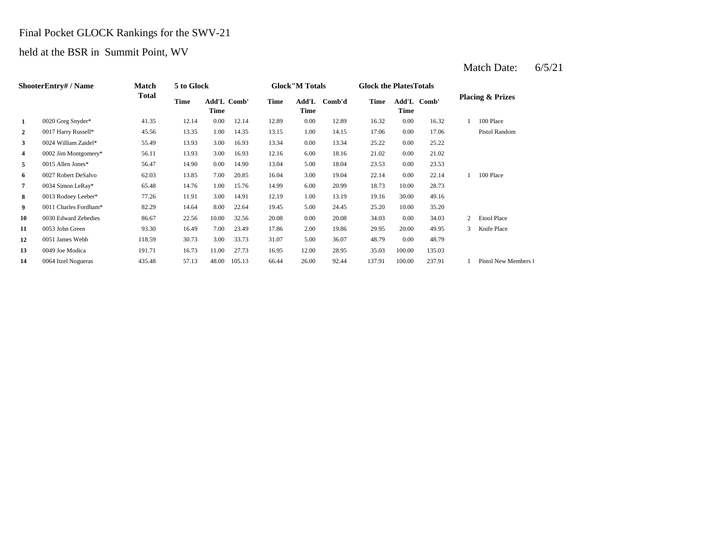### Final Pocket GLOCK Rankings for the SWV-21

### held at the BSR in Summit Point, WV

|                | <b>ShooterEntry#/Name</b> | Match<br><b>Total</b> | 5 to Glock |                            |        |       | <b>Glock</b> "M Totals |        | <b>Glock the Plates Totals</b> |        |             |   |                             |
|----------------|---------------------------|-----------------------|------------|----------------------------|--------|-------|------------------------|--------|--------------------------------|--------|-------------|---|-----------------------------|
|                |                           |                       | Time       | <b>Add'L Comb'</b><br>Time |        | Time  | Add'L<br>Time          | Comb'd | Time                           | Time   | Add'L Comb' |   | <b>Placing &amp; Prizes</b> |
| 1              | 0020 Greg Snyder*         | 41.35                 | 12.14      | 0.00                       | 12.14  | 12.89 | 0.00                   | 12.89  | 16.32                          | 0.00   | 16.32       |   | 100 Place                   |
| $\overline{2}$ | 0017 Harry Russell*       | 45.56                 | 13.35      | 1.00                       | 14.35  | 13.15 | 1.00                   | 14.15  | 17.06                          | 0.00   | 17.06       |   | Pistol Random               |
| 3              | 0024 William Zaidel*      | 55.49                 | 13.93      | 3.00                       | 16.93  | 13.34 | 0.00                   | 13.34  | 25.22                          | 0.00   | 25.22       |   |                             |
| 4              | 0002 Jim Montgomery*      | 56.11                 | 13.93      | 3.00                       | 16.93  | 12.16 | 6.00                   | 18.16  | 21.02                          | 0.00   | 21.02       |   |                             |
| 5              | 0015 Allen Jones*         | 56.47                 | 14.90      | $0.00\,$                   | 14.90  | 13.04 | 5.00                   | 18.04  | 23.53                          | 0.00   | 23.53       |   |                             |
| 6              | 0027 Robert DeSalvo       | 62.03                 | 13.85      | 7.00                       | 20.85  | 16.04 | 3.00                   | 19.04  | 22.14                          | 0.00   | 22.14       |   | 100 Place                   |
| 7              | 0034 Simon LeRay*         | 65.48                 | 14.76      | 1.00                       | 15.76  | 14.99 | 6.00                   | 20.99  | 18.73                          | 10.00  | 28.73       |   |                             |
| 8              | 0013 Rodney Leeber*       | 77.26                 | 11.91      | 3.00                       | 14.91  | 12.19 | 1.00                   | 13.19  | 19.16                          | 30.00  | 49.16       |   |                             |
| 9              | 0011 Charles Fordham*     | 82.29                 | 14.64      | 8.00                       | 22.64  | 19.45 | 5.00                   | 24.45  | 25.20                          | 10.00  | 35.20       |   |                             |
| 10             | 0030 Edward Zebedies      | 86.67                 | 22.56      | 10.00                      | 32.56  | 20.08 | 0.00                   | 20.08  | 34.03                          | 0.00   | 34.03       | 2 | <b>Etool Place</b>          |
| 11             | 0053 John Green           | 93.30                 | 16.49      | 7.00                       | 23.49  | 17.86 | 2.00                   | 19.86  | 29.95                          | 20.00  | 49.95       | 3 | Knife Place                 |
| 12             | 0051 James Webb           | 118.59                | 30.73      | 3.00                       | 33.73  | 31.07 | 5.00                   | 36.07  | 48.79                          | 0.00   | 48.79       |   |                             |
| 13             | 0049 Joe Modica           | 191.71                | 16.73      | 11.00                      | 27.73  | 16.95 | 12.00                  | 28.95  | 35.03                          | 100.00 | 135.03      |   |                             |
| 14             | 0064 Itzel Nogueras       | 435.48                | 57.13      | 48.00                      | 105.13 | 66.44 | 26.00                  | 92.44  | 137.91                         | 100.00 | 237.91      |   | Pistol New Members 1        |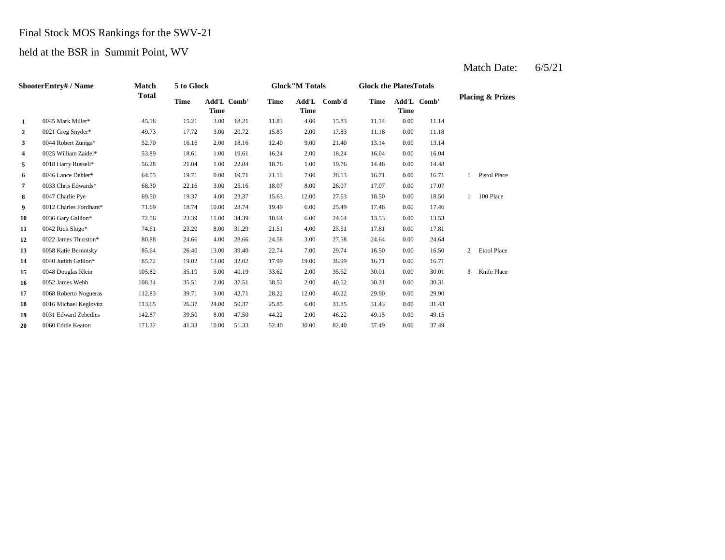### Final Stock MOS Rankings for the SWV-21

held at the BSR in Summit Point, WV

|                | ShooterEntry#/Name     | <b>Match</b> | 5 to Glock  |                     |       | <b>Glock</b> "M Totals |       |              | <b>Glock the PlatesTotals</b> |      |             |              |                             |
|----------------|------------------------|--------------|-------------|---------------------|-------|------------------------|-------|--------------|-------------------------------|------|-------------|--------------|-----------------------------|
|                |                        | <b>Total</b> | <b>Time</b> | Add'L Comb'<br>Time |       | Time                   | Time  | Add'L Comb'd | <b>Time</b>                   | Time | Add'L Comb' |              | <b>Placing &amp; Prizes</b> |
| 1              | 0045 Mark Miller*      | 45.18        | 15.21       | 3.00                | 18.21 | 11.83                  | 4.00  | 15.83        | 11.14                         | 0.00 | 11.14       |              |                             |
| $\overline{2}$ | 0021 Greg Snyder*      | 49.73        | 17.72       | 3.00                | 20.72 | 15.83                  | 2.00  | 17.83        | 11.18                         | 0.00 | 11.18       |              |                             |
| 3              | 0044 Robert Zuniga*    | 52.70        | 16.16       | 2.00                | 18.16 | 12.40                  | 9.00  | 21.40        | 13.14                         | 0.00 | 13.14       |              |                             |
| 4              | 0025 William Zaidel*   | 53.89        | 18.61       | 1.00                | 19.61 | 16.24                  | 2.00  | 18.24        | 16.04                         | 0.00 | 16.04       |              |                             |
| 5              | 0018 Harry Russell*    | 56.28        | 21.04       | 1.00                | 22.04 | 18.76                  | 1.00  | 19.76        | 14.48                         | 0.00 | 14.48       |              |                             |
| 6              | 0046 Lance Dehler*     | 64.55        | 19.71       | 0.00                | 19.71 | 21.13                  | 7.00  | 28.13        | 16.71                         | 0.00 | 16.71       | 1            | Pistol Place                |
| $\overline{7}$ | 0033 Chris Edwards*    | 68.30        | 22.16       | 3.00                | 25.16 | 18.07                  | 8.00  | 26.07        | 17.07                         | 0.00 | 17.07       |              |                             |
| 8              | 0047 Charlie Pye       | 69.50        | 19.37       | 4.00                | 23.37 | 15.63                  | 12.00 | 27.63        | 18.50                         | 0.00 | 18.50       | $\mathbf{1}$ | 100 Place                   |
| 9              | 0012 Charles Fordham*  | 71.69        | 18.74       | 10.00               | 28.74 | 19.49                  | 6.00  | 25.49        | 17.46                         | 0.00 | 17.46       |              |                             |
| 10             | 0036 Gary Gallion*     | 72.56        | 23.39       | 11.00               | 34.39 | 18.64                  | 6.00  | 24.64        | 13.53                         | 0.00 | 13.53       |              |                             |
| 11             | 0042 Rick Shigo*       | 74.61        | 23.29       | 8.00                | 31.29 | 21.51                  | 4.00  | 25.51        | 17.81                         | 0.00 | 17.81       |              |                             |
| 12             | 0022 James Thurston*   | 80.88        | 24.66       | 4.00                | 28.66 | 24.58                  | 3.00  | 27.58        | 24.64                         | 0.00 | 24.64       |              |                             |
| 13             | 0058 Katie Bernotsky   | 85.64        | 26.40       | 13.00               | 39.40 | 22.74                  | 7.00  | 29.74        | 16.50                         | 0.00 | 16.50       | 2            | <b>Etool Place</b>          |
| 14             | 0040 Judith Gallion*   | 85.72        | 19.02       | 13.00               | 32.02 | 17.99                  | 19.00 | 36.99        | 16.71                         | 0.00 | 16.71       |              |                             |
| 15             | 0048 Douglas Klein     | 105.82       | 35.19       | 5.00                | 40.19 | 33.62                  | 2.00  | 35.62        | 30.01                         | 0.00 | 30.01       | 3            | Knife Place                 |
| 16             | 0052 James Webb        | 108.34       | 35.51       | 2.00                | 37.51 | 38.52                  | 2.00  | 40.52        | 30.31                         | 0.00 | 30.31       |              |                             |
| 17             | 0068 Roberto Nogueras  | 112.83       | 39.71       | 3.00                | 42.71 | 28.22                  | 12.00 | 40.22        | 29.90                         | 0.00 | 29.90       |              |                             |
| 18             | 0016 Michael Keglovitz | 113.65       | 26.37       | 24.00               | 50.37 | 25.85                  | 6.00  | 31.85        | 31.43                         | 0.00 | 31.43       |              |                             |
| 19             | 0031 Edward Zebedies   | 142.87       | 39.50       | 8.00                | 47.50 | 44.22                  | 2.00  | 46.22        | 49.15                         | 0.00 | 49.15       |              |                             |
| 20             | 0060 Eddie Keaton      | 171.22       | 41.33       | 10.00               | 51.33 | 52.40                  | 30.00 | 82.40        | 37.49                         | 0.00 | 37.49       |              |                             |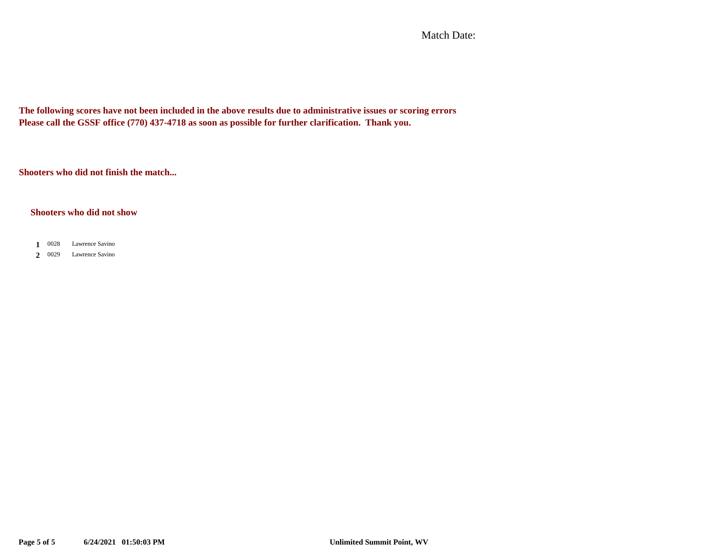Match Date:

**The following scores have not been included in the above results due to administrative issues or scoring errors Please call the GSSF office (770) 437-4718 as soon as possible for further clarification. Thank you.**

**Shooters who did not finish the match...**

#### **Shooters who did not show**

- 0028 **1** Lawrence Savino
- 0029 **2** Lawrence Savino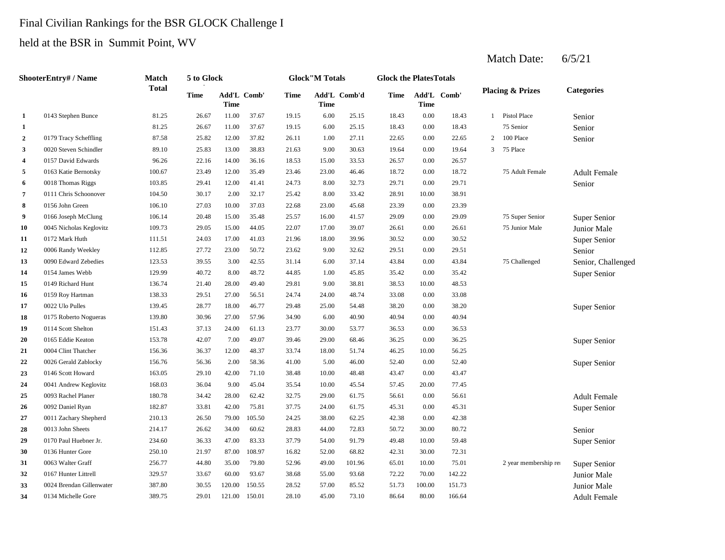## Final Civilian Rankings for the BSR GLOCK Challenge I held at the BSR in Summit Point, WV

|                | <b>ShooterEntry# / Name</b> | <b>Match</b> | 5 to Glock  |                     |        |             | <b>Glock</b> "M Totals |              | <b>Glock the PlatesTotals</b> |        |             |                |                             |                     |
|----------------|-----------------------------|--------------|-------------|---------------------|--------|-------------|------------------------|--------------|-------------------------------|--------|-------------|----------------|-----------------------------|---------------------|
|                |                             | <b>Total</b> | <b>Time</b> | Add'L Comb'<br>Time |        | <b>Time</b> | Time                   | Add'L Comb'd | Time                          | Time   | Add'L Comb' |                | <b>Placing &amp; Prizes</b> | <b>Categories</b>   |
| 1              | 0143 Stephen Bunce          | 81.25        | 26.67       | 11.00               | 37.67  | 19.15       | 6.00                   | 25.15        | 18.43                         | 0.00   | 18.43       | $\mathbf{1}$   | <b>Pistol Place</b>         | Senior              |
| 1              |                             | 81.25        | 26.67       | 11.00               | 37.67  | 19.15       | 6.00                   | 25.15        | 18.43                         | 0.00   | 18.43       |                | 75 Senior                   | Senior              |
| $\overline{2}$ | 0179 Tracy Scheffling       | 87.58        | 25.82       | 12.00               | 37.82  | 26.11       | 1.00                   | 27.11        | 22.65                         | 0.00   | 22.65       | $\overline{c}$ | 100 Place                   | Senior              |
| 3              | 0020 Steven Schindler       | 89.10        | 25.83       | 13.00               | 38.83  | 21.63       | 9.00                   | 30.63        | 19.64                         | 0.00   | 19.64       | 3              | 75 Place                    |                     |
| $\overline{4}$ | 0157 David Edwards          | 96.26        | 22.16       | 14.00               | 36.16  | 18.53       | 15.00                  | 33.53        | 26.57                         | 0.00   | 26.57       |                |                             |                     |
| 5              | 0163 Katie Bernotsky        | 100.67       | 23.49       | 12.00               | 35.49  | 23.46       | 23.00                  | 46.46        | 18.72                         | 0.00   | 18.72       |                | 75 Adult Female             | <b>Adult Female</b> |
| 6              | 0018 Thomas Riggs           | 103.85       | 29.41       | 12.00               | 41.41  | 24.73       | 8.00                   | 32.73        | 29.71                         | 0.00   | 29.71       |                |                             | Senior              |
| 7              | 0111 Chris Schoonover       | 104.50       | 30.17       | 2.00                | 32.17  | 25.42       | 8.00                   | 33.42        | 28.91                         | 10.00  | 38.91       |                |                             |                     |
| 8              | 0156 John Green             | 106.10       | 27.03       | 10.00               | 37.03  | 22.68       | 23.00                  | 45.68        | 23.39                         | 0.00   | 23.39       |                |                             |                     |
| 9              | 0166 Joseph McClung         | 106.14       | 20.48       | 15.00               | 35.48  | 25.57       | 16.00                  | 41.57        | 29.09                         | 0.00   | 29.09       |                | 75 Super Senior             | Super Senior        |
| 10             | 0045 Nicholas Keglovitz     | 109.73       | 29.05       | 15.00               | 44.05  | 22.07       | 17.00                  | 39.07        | 26.61                         | 0.00   | 26.61       |                | 75 Junior Male              | Junior Male         |
| 11             | 0172 Mark Huth              | 111.51       | 24.03       | 17.00               | 41.03  | 21.96       | 18.00                  | 39.96        | 30.52                         | 0.00   | 30.52       |                |                             | Super Senior        |
| 12             | 0006 Randy Weekley          | 112.85       | 27.72       | 23.00               | 50.72  | 23.62       | 9.00                   | 32.62        | 29.51                         | 0.00   | 29.51       |                |                             | Senior              |
| 13             | 0090 Edward Zebedies        | 123.53       | 39.55       | 3.00                | 42.55  | 31.14       | 6.00                   | 37.14        | 43.84                         | 0.00   | 43.84       |                | 75 Challenged               | Senior, Challenged  |
| 14             | 0154 James Webb             | 129.99       | 40.72       | 8.00                | 48.72  | 44.85       | 1.00                   | 45.85        | 35.42                         | 0.00   | 35.42       |                |                             | Super Senior        |
| 15             | 0149 Richard Hunt           | 136.74       | 21.40       | 28.00               | 49.40  | 29.81       | 9.00                   | 38.81        | 38.53                         | 10.00  | 48.53       |                |                             |                     |
| 16             | 0159 Roy Hartman            | 138.33       | 29.51       | 27.00               | 56.51  | 24.74       | 24.00                  | 48.74        | 33.08                         | 0.00   | 33.08       |                |                             |                     |
| 17             | 0022 Ulo Pulles             | 139.45       | 28.77       | 18.00               | 46.77  | 29.48       | 25.00                  | 54.48        | 38.20                         | 0.00   | 38.20       |                |                             | Super Senior        |
| 18             | 0175 Roberto Nogueras       | 139.80       | 30.96       | 27.00               | 57.96  | 34.90       | 6.00                   | 40.90        | 40.94                         | 0.00   | 40.94       |                |                             |                     |
| 19             | 0114 Scott Shelton          | 151.43       | 37.13       | 24.00               | 61.13  | 23.77       | 30.00                  | 53.77        | 36.53                         | 0.00   | 36.53       |                |                             |                     |
| 20             | 0165 Eddie Keaton           | 153.78       | 42.07       | 7.00                | 49.07  | 39.46       | 29.00                  | 68.46        | 36.25                         | 0.00   | 36.25       |                |                             | Super Senior        |
| 21             | 0004 Clint Thatcher         | 156.36       | 36.37       | 12.00               | 48.37  | 33.74       | 18.00                  | 51.74        | 46.25                         | 10.00  | 56.25       |                |                             |                     |
| 22             | 0026 Gerald Zablocky        | 156.76       | 56.36       | 2.00                | 58.36  | 41.00       | 5.00                   | 46.00        | 52.40                         | 0.00   | 52.40       |                |                             | Super Senior        |
| 23             | 0146 Scott Howard           | 163.05       | 29.10       | 42.00               | 71.10  | 38.48       | 10.00                  | 48.48        | 43.47                         | 0.00   | 43.47       |                |                             |                     |
| 24             | 0041 Andrew Keglovitz       | 168.03       | 36.04       | 9.00                | 45.04  | 35.54       | 10.00                  | 45.54        | 57.45                         | 20.00  | 77.45       |                |                             |                     |
| 25             | 0093 Rachel Planer          | 180.78       | 34.42       | 28.00               | 62.42  | 32.75       | 29.00                  | 61.75        | 56.61                         | 0.00   | 56.61       |                |                             | <b>Adult Female</b> |
| 26             | 0092 Daniel Ryan            | 182.87       | 33.81       | 42.00               | 75.81  | 37.75       | 24.00                  | 61.75        | 45.31                         | 0.00   | 45.31       |                |                             | Super Senior        |
| 27             | 0011 Zachary Shepherd       | 210.13       | 26.50       | 79.00               | 105.50 | 24.25       | 38.00                  | 62.25        | 42.38                         | 0.00   | 42.38       |                |                             |                     |
| 28             | 0013 John Sheets            | 214.17       | 26.62       | 34.00               | 60.62  | 28.83       | 44.00                  | 72.83        | 50.72                         | 30.00  | 80.72       |                |                             | Senior              |
| 29             | 0170 Paul Huebner Jr.       | 234.60       | 36.33       | 47.00               | 83.33  | 37.79       | 54.00                  | 91.79        | 49.48                         | 10.00  | 59.48       |                |                             | Super Senior        |
| 30             | 0136 Hunter Gore            | 250.10       | 21.97       | 87.00               | 108.97 | 16.82       | 52.00                  | 68.82        | 42.31                         | 30.00  | 72.31       |                |                             |                     |
| 31             | 0063 Walter Graff           | 256.77       | 44.80       | 35.00               | 79.80  | 52.96       | 49.00                  | 101.96       | 65.01                         | 10.00  | 75.01       |                | 2 year membership rea       | Super Senior        |
| 32             | 0167 Hunter Littrell        | 329.57       | 33.67       | 60.00               | 93.67  | 38.68       | 55.00                  | 93.68        | 72.22                         | 70.00  | 142.22      |                |                             | Junior Male         |
| 33             | 0024 Brendan Gillenwater    | 387.80       | 30.55       | 120.00              | 150.55 | 28.52       | 57.00                  | 85.52        | 51.73                         | 100.00 | 151.73      |                |                             | Junior Male         |
| 34             | 0134 Michelle Gore          | 389.75       | 29.01       | 121.00              | 150.01 | 28.10       | 45.00                  | 73.10        | 86.64                         | 80.00  | 166.64      |                |                             | <b>Adult Female</b> |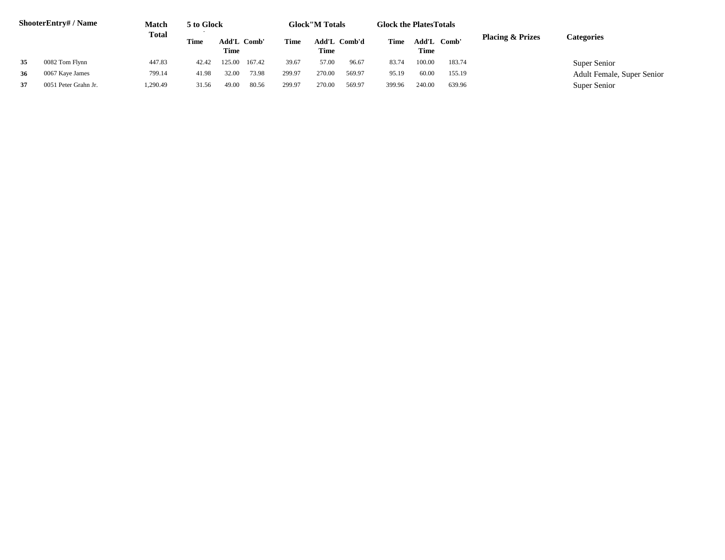|    | <b>ShooterEntry#/Name</b> | Match<br><b>Total</b> | 5 to Glock |       |                                             |        | <b>Glock</b> "M Totals |                     | <b>Glock the Plates Totals</b> |                             |                   |  |                            |
|----|---------------------------|-----------------------|------------|-------|---------------------------------------------|--------|------------------------|---------------------|--------------------------------|-----------------------------|-------------------|--|----------------------------|
|    |                           |                       | Time       | Time  | Add'L Comb'<br>Add'L Comb'd<br>Time<br>Time |        | Time                   | Add'L Comb'<br>Time |                                | <b>Placing &amp; Prizes</b> | <b>Categories</b> |  |                            |
| 35 | 0082 Tom Flynn            | 447.83                | 42.42      | 25.00 | 167.42                                      | 39.67  | 57.00                  | 96.67               | 83.74                          | 100.00                      | 183.74            |  | Super Senior               |
| 36 | 0067 Kaye James           | 799.14                | 41.98      | 32.00 | 73.98                                       | 299.97 | 270.00                 | 569.97              | 95.19                          | 60.00                       | 155.19            |  | Adult Female, Super Senior |
| 37 | 0051 Peter Grahn Jr.      | 1,290.49              | 31.56      | 49.00 | 80.56                                       | 299.97 | 270.00                 | 569.97              | 399.96                         | 240.00                      | 639.96            |  | Super Senior               |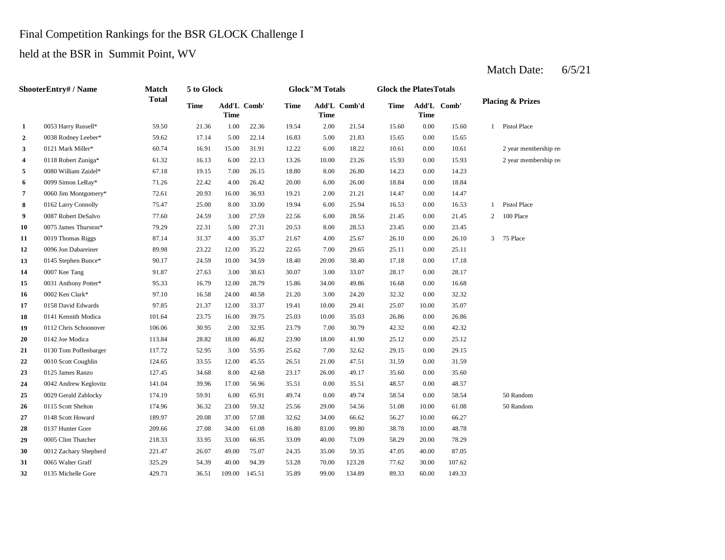#### Final Competition Rankings for the BSR GLOCK Challenge I

held at the BSR in Summit Point, WV

#### **2** 5.00 15.65 0038 Rodney Leeber\* 59.62 17.14 5.00 22.14 **3** 0121 Mark Miller\* 60.74 16.91 15.00 31.91 12.22 6.00 18.22 10.61 **4** 10.00 15.93 0118 Robert Zuniga\* 61.32 16.13 6.00 22.13 13.26 **5** 8.00 William Zaidel\* 67.18 19.15 7.00 26.15 18.80 8.00 26.80 14.23 **6** 0099 Simon LeRay\* 71.26 22.42 4.00 26.42 20.00 6.00 26.00 18.84 **7** 2.00 Jim Montgomery\* 72.61 20.93 16.00 36.93 19.21 2.00 21.21 14.47 0.00 **8** 0162 Larry Connolly 25.47 25.00 8.00 33.00 19.94 6.00 25.94 16.53 0.00 16.53 **9** 0087 Robert DeSalvo 77.60 24.59 3.00 27.59 22.56 6.00 28.56 21.45 0.00 **10** 0075 James Thurston\* 79.29 22.31 5.00 27.31 20.53 8.00 28.53 23.45 **11** 0019 Thomas Riggs 87.14 31.37 4.00 35.37 21.67 4.00 25.67 26.10 0.00 **12** 7.00 25.11 0096 Jon Dabareiner 89.98 23.22 12.00 35.22 22.65 29.65 **13** 0145 Stephen Bunce\* 90.17 24.59 10.00 34.59 18.40 20.00 38.40 17.18 0.00 **14**  $\qquad 0007$  Kee Tang **14**  $\qquad 91.87$  **27.63 3.00 30.63 3.007 3.00 33.07 28.17 15** 34.00 16.68 0031 Anthony Potter\* 95.33 16.79 12.00 28.79 15.86 **16**  $\frac{0002 \text{ Ken Clark*}}{23.32}$  **16.58** 24.00 40.58 21.20 3.00 24.20 32.32 **17** 0158 David Edwards 97.85 21.37 12.00 33.37 19.41 10.00 29.41 25.07 10.00 **18** 0141 Kennith Modica **101.64** 23.75 16.00 39.75 25.03 10.00 35.03 26.86 0.00 26.86 **19** 0112 Chris Schoonover 106.06 30.95 2.00 32.95 23.79 7.00 30.79 42.32 **20** 0142 Joe Modica **113.84** 28.82 18.00 46.82 23.90 18.00 41.90 25.12 **21** 0130 Tom Poffenbarger 117.72 52.95 3.00 55.95 25.62 7.00 32.62 29.15 0.00 **22** 0010 Scott Coughlin 124.65 33.55 12.00 45.55 26.51 21.00 47.51 31.59 0.00 31.59 **23** 0125 James Ranzo 127.45 34.68 8.00 42.68 23.17 26.00 49.17 35.60 24 0042 Andrew Keglovitz 141.04 39.96 17.00 56.96 35.51 0.00 35.51 48.57 **25** 0029 Gerald Zablocky 174.19 59.91 6.00 65.91 49.74 0.00 49.74 58.54 0.00 **26** 0115 Scott Shelton 174.96 36.32 23.00 59.32 25.56 29.00 54.56 51.08 10.00 **27** 0148 Scott Howard 189.97 20.08 37.00 57.08 32.62 34.00 66.62 56.27 10.00 **28** 83.00 37 Hunter Gore 209.66 27.08 34.00 61.08 16.80 83.00 38.78 **29** 0005 Clint Thatcher 218.33 33.95 33.00 66.95 33.09 40.00 73.09 58.29 **30** 0012 Zachary Shepherd 221.47 26.07 49.00 75.07 24.35 35.00 59.35 47.05 **31** 0065 Walter Graff **325.29 54.39 40.00 94.39 53.28 70.00 123.28 77.62 32** 0135 Michelle Gore 429.73 36.51 109.00 145.51 35.89 99.00 134.89 89.33 60.00 149.33 107.62 40.00 87.05 0065 Walter Graff 325.29 54.39 40.00 94.39 53.28 123.28 30.00 73.09 20.00 78.29 66.27 0137 Hunter Gore 209.66 27.08 34.00 61.08 16.80 83.00 99.80 38.78 10.00 48.78 61.08 50 Random 58.54 50 Random 0.00 48.57 49.17 35.60 0.00 35.60 29.15 0.00 25.12 30.79 0.00 42.32 35.07 0.00 32.32 49.86 0.00 16.68 0002 Ken Clark\* 97.10 16.58 24.00 40.58 21.20 3.00 24.20 17.18 0007 Kee Tang 91.87 27.63 30.03 30.07 30.07 28.17 0.00 28.17 0.00 25.11 26.10 3 75 Place 0.00 23.45 21.45 2 100 Place 1 Pistol Place 14.47 0.00 18.84 26.80 0.00 14.23 23.26 15.93 0.00 15.93 2 year membership ren  $18.22$   $10.61$   $0.00$   $10.61$   $2$  year membership ren 16.83 5.00 21.83 15.65 0.00 15.65 15.60 0.00 15.60 1 Pistol Place Add'L Comb' **1** 0053 Harry Russell\* 59.50 21.36 1.00 22.36 19.54 2.00 21.54 Add'L Comb' **Time Add'L Comb'd Time Add'L Time Time ShooterEntry# / Name Match Total 5 to Glock Time Glock"M Totals Glock the PlatesTotals Placing & Prizes Time Add'L Time**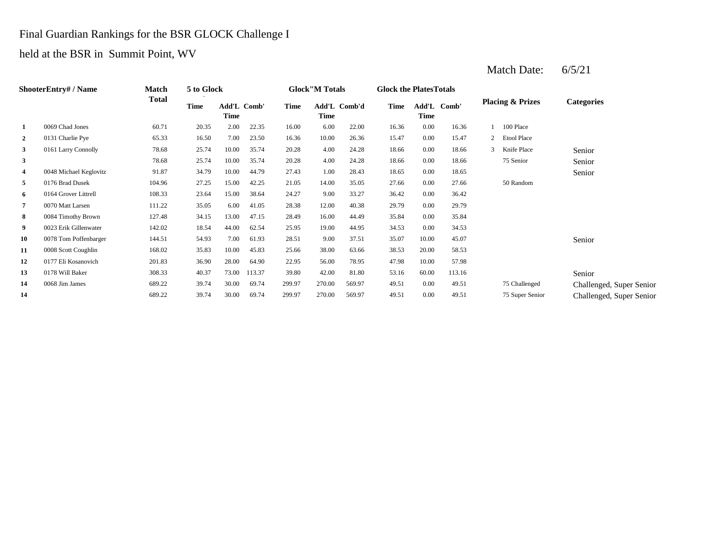#### Final Guardian Rankings for the BSR GLOCK Challenge I

#### held at the BSR in Summit Point, WV

#### **2** 0131 Charlie Pye 65.33 16.50 7.00 23.50 16.36 10.00 26.36 15.47 0.00 **3** 1161 Larry Connolly **28.68** 25.74 10.00 35.74 20.28 4.00 24.28 18.66 **3 28.68 20.28 20.28 4.00 24.28 18.66 4** 1.00 18.65 0048 Michael Keglovitz 91.87 34.79 10.00 44.79 **5** 14.00 27.66 0176 Brad Dusek 104.96 27.25 15.00 42.25 **6** 9.00 33.27 108.33 23.64 15.00 38.64 24.27 9.00 33.27 36.42 **7** 12.00 12.00 12.00 12.00 12.00 12.00 12.00 12.00 12.00 12.00 12.00 12.00 12.00 12.00 12.00 **8** 16.00 **35.84 8** 16.00 **44.49 85.84 81.15** 13.00 **47.15** 28.49 **16.00 44.49 35.84 9** 0023 Erik Gillenwater 142.02 18.54 44.00 62.54 25.95 19.00 44.95 34.53 0.00 **10** 0078 Tom Poffenbarger **144.51** 54.93 7.00 61.93 28.51 9.00 37.51 35.07 10.00 45.07 **11** 0008 Scott Coughlin 168.02 35.83 10.00 45.83 25.66 38.00 63.66 38.53 20.00 58.53 **12** 56.00 47.98 0177 Eli Kosanovich 201.83 36.90 28.00 64.90 22.95 **13 13 138 140.37 13.37 140.37 13.37 13.80 140.37 13.37 139.80 142.00 81.80 53.16 14** 0068 Jim James 689.22 39.74 30.00 69.74 299.97 270.00 569.97 49.51 **14** 270.00 49.51 0.00 49.51 75 Super Senior Challenged, Super Senior 0.00 49.51 75 Challenged Challenged, Super Senior 689.22 39.74 30.00 69.74 299.97 569.97 60.00 113.16 Senior 78.95 10.00 57.98 0178 Will Baker 308.33 40.37 73.00 113.37 39.80 42.00 81.80 Senior 34.53 0.00 35.84 40.38 29.79 0.00 29.79 24.27 33.27 0.00 36.42 21.05 35.05 0.00 27.66 50 Random 27.43 1.00 28.43 18.65 0.00 18.65 Senior 24.28 0.00 18.66 75 Senior Senior 0.00 18.66 3 Knife Place Senior 78.68 25.74 10.00 35.74 20.28 15.47 2 Etool Place 1 100 Place **1** 0069 Chad Jones 60.71 20.35 2.00 22.35 16.00 6.00 22.00 16.36 0.00 16.36 **Categories Time Add'L Time** Add'L Comb' **Time Add'L Comb'd Time Add'L Time Time Comb' ShooterEntry# / Name Match Total 5 to Glock Time Glock"M Totals Glock the PlatesTotals Placing & Prizes**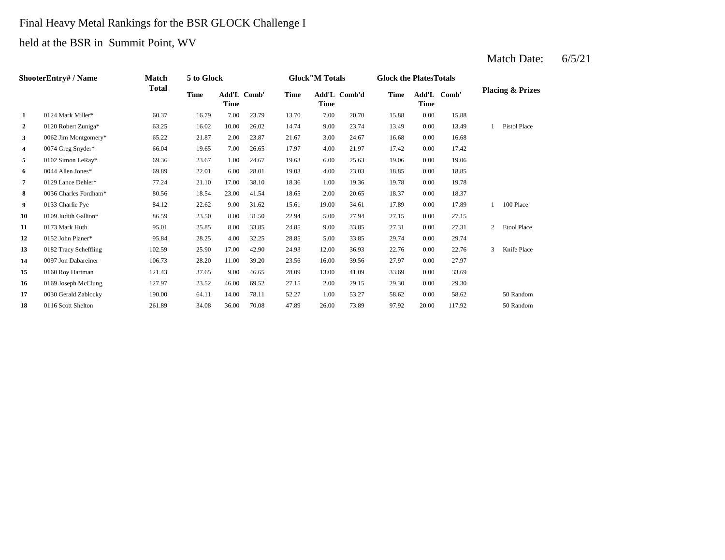# Final Heavy Metal Rankings for the BSR GLOCK Challenge I held at the BSR in Summit Point, WV

|                | <b>ShooterEntry#/Name</b> | Match        | 5 to Glock  |             |             |             | <b>Glock</b> "M Totals |              | <b>Glock the PlatesTotals</b> |             |             |                |                             |
|----------------|---------------------------|--------------|-------------|-------------|-------------|-------------|------------------------|--------------|-------------------------------|-------------|-------------|----------------|-----------------------------|
|                |                           | <b>Total</b> | <b>Time</b> | <b>Time</b> | Add'L Comb' | <b>Time</b> | <b>Time</b>            | Add'L Comb'd | <b>Time</b>                   | <b>Time</b> | Add'L Comb' |                | <b>Placing &amp; Prizes</b> |
| $\mathbf{1}$   | 0124 Mark Miller*         | 60.37        | 16.79       | 7.00        | 23.79       | 13.70       | 7.00                   | 20.70        | 15.88                         | 0.00        | 15.88       |                |                             |
| $\mathbf{2}$   | 0120 Robert Zuniga*       | 63.25        | 16.02       | 10.00       | 26.02       | 14.74       | 9.00                   | 23.74        | 13.49                         | 0.00        | 13.49       |                | Pistol Place                |
| 3 <sup>1</sup> | 0062 Jim Montgomery*      | 65.22        | 21.87       | 2.00        | 23.87       | 21.67       | 3.00                   | 24.67        | 16.68                         | 0.00        | 16.68       |                |                             |
| 4              | 0074 Greg Snyder*         | 66.04        | 19.65       | 7.00        | 26.65       | 17.97       | 4.00                   | 21.97        | 17.42                         | 0.00        | 17.42       |                |                             |
| 5              | 0102 Simon LeRay*         | 69.36        | 23.67       | 1.00        | 24.67       | 19.63       | 6.00                   | 25.63        | 19.06                         | 0.00        | 19.06       |                |                             |
| 6              | 0044 Allen Jones*         | 69.89        | 22.01       | 6.00        | 28.01       | 19.03       | 4.00                   | 23.03        | 18.85                         | 0.00        | 18.85       |                |                             |
| 7              | 0129 Lance Dehler*        | 77.24        | 21.10       | 17.00       | 38.10       | 18.36       | 1.00                   | 19.36        | 19.78                         | 0.00        | 19.78       |                |                             |
| 8              | 0036 Charles Fordham*     | 80.56        | 18.54       | 23.00       | 41.54       | 18.65       | 2.00                   | 20.65        | 18.37                         | 0.00        | 18.37       |                |                             |
| 9              | 0133 Charlie Pye          | 84.12        | 22.62       | 9.00        | 31.62       | 15.61       | 19.00                  | 34.61        | 17.89                         | 0.00        | 17.89       |                | 100 Place                   |
| 10             | 0109 Judith Gallion*      | 86.59        | 23.50       | 8.00        | 31.50       | 22.94       | 5.00                   | 27.94        | 27.15                         | 0.00        | 27.15       |                |                             |
| 11             | 0173 Mark Huth            | 95.01        | 25.85       | 8.00        | 33.85       | 24.85       | 9.00                   | 33.85        | 27.31                         | 0.00        | 27.31       | $\overline{c}$ | <b>Etool Place</b>          |
| 12             | 0152 John Planer*         | 95.84        | 28.25       | 4.00        | 32.25       | 28.85       | 5.00                   | 33.85        | 29.74                         | 0.00        | 29.74       |                |                             |
| 13             | 0182 Tracy Scheffling     | 102.59       | 25.90       | 17.00       | 42.90       | 24.93       | 12.00                  | 36.93        | 22.76                         | 0.00        | 22.76       | 3              | Knife Place                 |
| 14             | 0097 Jon Dabareiner       | 106.73       | 28.20       | 11.00       | 39.20       | 23.56       | 16.00                  | 39.56        | 27.97                         | 0.00        | 27.97       |                |                             |
| 15             | 0160 Roy Hartman          | 121.43       | 37.65       | 9.00        | 46.65       | 28.09       | 13.00                  | 41.09        | 33.69                         | 0.00        | 33.69       |                |                             |
| 16             | 0169 Joseph McClung       | 127.97       | 23.52       | 46.00       | 69.52       | 27.15       | 2.00                   | 29.15        | 29.30                         | 0.00        | 29.30       |                |                             |
| 17             | 0030 Gerald Zablocky      | 190.00       | 64.11       | 14.00       | 78.11       | 52.27       | 1.00                   | 53.27        | 58.62                         | 0.00        | 58.62       |                | 50 Random                   |
| 18             | 0116 Scott Shelton        | 261.89       | 34.08       | 36.00       | 70.08       | 47.89       | 26.00                  | 73.89        | 97.92                         | 20.00       | 117.92      |                | 50 Random                   |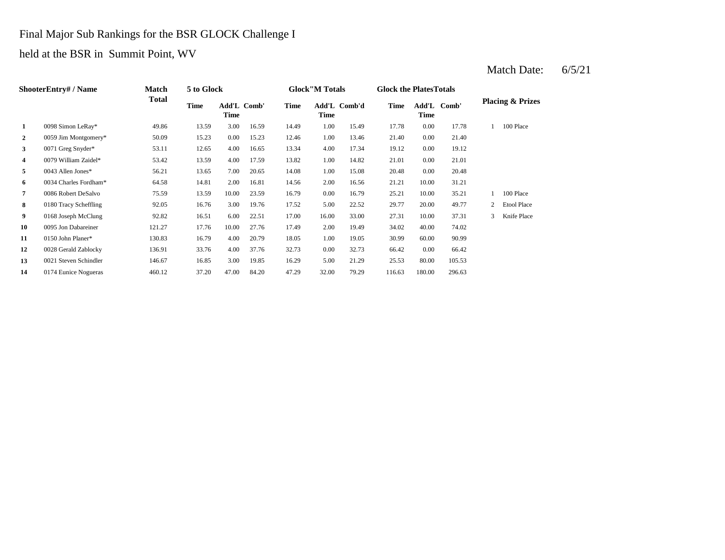#### Final Major Sub Rankings for the BSR GLOCK Challenge I

held at the BSR in Summit Point, WV

#### **2** 1.00 21.40 0059 Jim Montgomery\* 50.09 15.23 0.00 15.23 **3** 4.00 17.34 19.12 **612** 12.65 4.00 16.65 13.34 4.00 17.34 19.12 **4** 0079 William Zaidel\* 53.42 13.59 4.00 17.59 13.82 1.00 14.82 21.01 **5** 1.00 15.08 **1.00 20.48 56.21** 13.65 7.00 **20.65** 14.08 1.00 **15.08** 20.48 0.00 **6** 0034 Charles Fordham\* 64.58 14.81 2.00 16.81 14.56 2.00 16.56 21.21 10.00 31.21 **7** 0.008 Robert DeSalvo **75.59** 13.59 10.00 23.59 16.79 0.00 16.79 25.21 **8** 0180 Tracy Scheffling 92.05 16.76 3.00 19.76 17.52 5.00 22.52 29.77 **9** 0168 Joseph McClung 02.82 16.51 6.00 22.51 17.00 16.00 33.00 27.31 **10** 2.00 34.02 0095 Jon Dabareiner 121.27 17.76 10.00 27.76 **11** 0150 John Planer\* **130.83** 16.79 4.00 20.79 18.05 1.00 19.05 30.99 **12** 0028 Gerald Zablocky 136.91 33.76 4.00 37.76 32.73 0.00 32.73 66.42 **13 13 13 13 13 13 15.85 16.85 16.85 16.29 16.29 16.29 11.29 11.29 11.29 11.29 11.29 11.29 11.29** 105.53 0.00 66.42 19.05 60.00 90.99 17.49 2.00 19.49 34.02 40.00 74.02 33.00 27.31 10.00 37.31 3 Knife Place 17.52 5.00 22.52 29.77 20.00 49.77 2 Etool Place 16.79 25.21 10.00 35.21 1 100 Place 20.48 0.00 21.01 17.34 0.00 19.12 12.46 1.00 13.46 21.40 0.00 21.40 17.78 0.00 17.78 1 100 Place **Comb' Comb'd Time Add'L Placing & Prizes Time Add'L 1** 0098 Simon LeRay\* 49.86 13.59 3.00 16.59 14.49 1.00 15.49 Add'L Comb' **Time Add'L Time Time ShooterEntry# / Name Match Total 5 to Glock Time Glock"M Totals Glock the PlatesTotals Time**

**14** 0174 Eunice Nogueras 460.12 37.20 47.00 84.20 47.29 32.00 79.29 116.63 180.00 296.63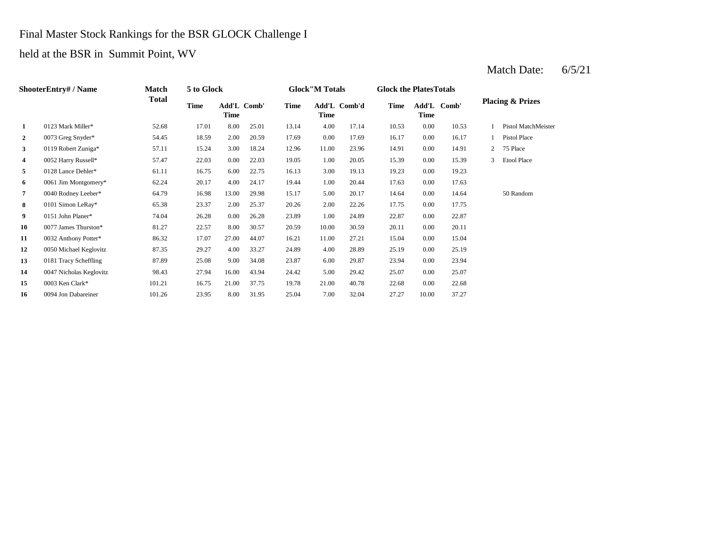#### Final Master Stock Rankings for the BSR GLOCK Challenge I

#### held at the BSR in Summit Point, WV

#### **2** 0073 Greg Snyder\* 54.45 18.59 2.00 20.59 17.69 0.00 17.69 16.17 0.00 16.17 **3** 11.00 23.96 14.91 0.00 0.00 0.00 18.24 15.24 3.00 18.24 12.96 11.00 23.96 14.91 0.00 **4**  $0.052$  Harry Russell\* 57.47 22.03 0.00 22.03 19.05 1.00 20.05 15.39 **5**  $\frac{0128 \text{ Lance Dehler*}}{1.1}$  16.75 6.00 22.75 16.13 3.00 19.13 19.23 **6** 0061 Jim Montgomery\* 62.24 20.17 4.00 24.17 19.44 1.00 20.44 17.63 **7** 0040 Rodney Leeber\* 64.79 16.98 13.00 29.98 15.17 5.00 20.17 14.64 0.00 **8** 0101 Simon LeRay\* 65.38 23.37 2.00 25.37 20.26 2.00 22.26 17.75 0.00 **9** 0151 John Planer\* **74.04** 26.28 0.00 26.28 23.89 1.00 24.89 22.87 0.00 22.87 **10** 0077 James Thurston\* 81.27 22.57 8.00 30.57 20.59 10.00 30.59 20.11 **11** 0032 Anthony Potter\* 86.32 17.07 27.00 44.07 16.21 11.00 27.21 15.04 **12** 0050 Michael Keglovitz 87.35 29.27 4.00 33.27 24.89 4.00 28.89 25.19 0.00 **13** 0181 Tracy Scheffling 87.89 25.08 9.00 34.08 23.87 6.00 29.87 23.94 0.00 23.94 **14** 5.00 25.07 0047 Nicholas Keglovitz 98.43 27.94 16.00 43.94 24.42 **15** 22.68 101.21 16.75 21.00 37.75 19.78 21.00 40.78 22.68 **16** 0094 Jon Dabareiner 101.26 23.95 8.00 31.95 25.04 7.00 32.04 27.27 10.00 37.27 0.00 22.68 29.42 0.00 25.07 25.19 0.00 15.04 30.59 0.00 20.11 17.75 14.64 50 Random 0.00 17.63 19.13 0.00 19.23 0.00 15.39 3 Etool Place 14.91 2 75 Place 1 Pistol Place Pistol MatchMeister 4.00 17.14 10.53 0.00 10.53 1 **Time Add'L Comb' Time 1** 0123 Mark Miller\* 52.68 17.01 8.00 25.01 13.14 **Time Add'L Comb' Time Time Add'L Comb'd Time ShooterEntry# / Name Match Total 5 to Glock Time Glock"M Totals Glock the PlatesTotals Placing & Prizes**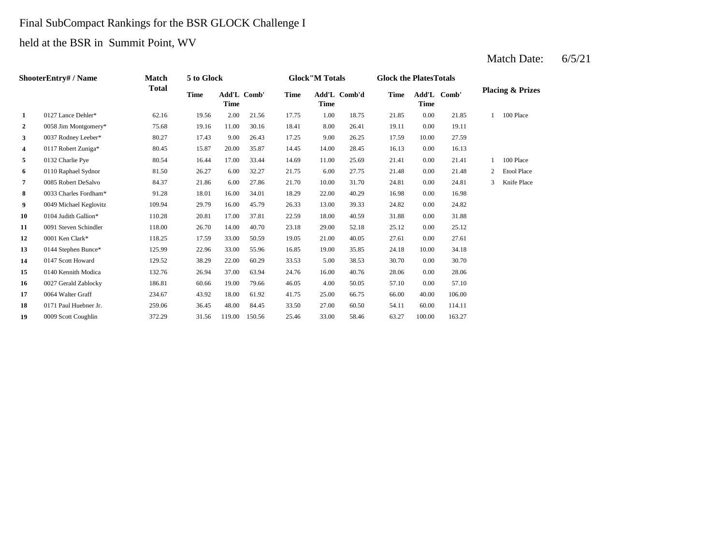# Final SubCompact Rankings for the BSR GLOCK Challenge I

held at the BSR in Summit Point, WV

|                | <b>ShooterEntry#/Name</b> | Match  | 5 to Glock  |                                   |        |             | <b>Glock</b> "M Totals |              |             | <b>Glock the Plates Totals</b> |             |   |                             |
|----------------|---------------------------|--------|-------------|-----------------------------------|--------|-------------|------------------------|--------------|-------------|--------------------------------|-------------|---|-----------------------------|
|                |                           | Total  | <b>Time</b> | <b>Add'L Comb'</b><br><b>Time</b> |        | <b>Time</b> | Time                   | Add'L Comb'd | <b>Time</b> | <b>Time</b>                    | Add'L Comb' |   | <b>Placing &amp; Prizes</b> |
| 1              | 0127 Lance Dehler*        | 62.16  | 19.56       | 2.00                              | 21.56  | 17.75       | 1.00                   | 18.75        | 21.85       | 0.00                           | 21.85       |   | 100 Place                   |
| $\overline{2}$ | 0058 Jim Montgomery*      | 75.68  | 19.16       | 11.00                             | 30.16  | 18.41       | 8.00                   | 26.41        | 19.11       | 0.00                           | 19.11       |   |                             |
| 3              | 0037 Rodney Leeber*       | 80.27  | 17.43       | 9.00                              | 26.43  | 17.25       | 9.00                   | 26.25        | 17.59       | 10.00                          | 27.59       |   |                             |
| 4              | 0117 Robert Zuniga*       | 80.45  | 15.87       | 20.00                             | 35.87  | 14.45       | 14.00                  | 28.45        | 16.13       | 0.00                           | 16.13       |   |                             |
| 5              | 0132 Charlie Pye          | 80.54  | 16.44       | 17.00                             | 33.44  | 14.69       | 11.00                  | 25.69        | 21.41       | 0.00                           | 21.41       |   | 100 Place                   |
| 6              | 0110 Raphael Sydnor       | 81.50  | 26.27       | 6.00                              | 32.27  | 21.75       | 6.00                   | 27.75        | 21.48       | 0.00                           | 21.48       | 2 | <b>Etool Place</b>          |
| $\overline{7}$ | 0085 Robert DeSalvo       | 84.37  | 21.86       | 6.00                              | 27.86  | 21.70       | 10.00                  | 31.70        | 24.81       | 0.00                           | 24.81       |   | Knife Place                 |
| 8              | 0033 Charles Fordham*     | 91.28  | 18.01       | 16.00                             | 34.01  | 18.29       | 22.00                  | 40.29        | 16.98       | 0.00                           | 16.98       |   |                             |
| 9              | 0049 Michael Keglovitz    | 109.94 | 29.79       | 16.00                             | 45.79  | 26.33       | 13.00                  | 39.33        | 24.82       | 0.00                           | 24.82       |   |                             |
| 10             | 0104 Judith Gallion*      | 110.28 | 20.81       | 17.00                             | 37.81  | 22.59       | 18.00                  | 40.59        | 31.88       | 0.00                           | 31.88       |   |                             |
| 11             | 0091 Steven Schindler     | 118.00 | 26.70       | 14.00                             | 40.70  | 23.18       | 29.00                  | 52.18        | 25.12       | 0.00                           | 25.12       |   |                             |
| 12             | 0001 Ken Clark*           | 118.25 | 17.59       | 33.00                             | 50.59  | 19.05       | 21.00                  | 40.05        | 27.61       | 0.00                           | 27.61       |   |                             |
| 13             | 0144 Stephen Bunce*       | 125.99 | 22.96       | 33.00                             | 55.96  | 16.85       | 19.00                  | 35.85        | 24.18       | 10.00                          | 34.18       |   |                             |
| 14             | 0147 Scott Howard         | 129.52 | 38.29       | 22.00                             | 60.29  | 33.53       | 5.00                   | 38.53        | 30.70       | 0.00                           | 30.70       |   |                             |
| 15             | 0140 Kennith Modica       | 132.76 | 26.94       | 37.00                             | 63.94  | 24.76       | 16.00                  | 40.76        | 28.06       | 0.00                           | 28.06       |   |                             |
| 16             | 0027 Gerald Zablocky      | 186.81 | 60.66       | 19.00                             | 79.66  | 46.05       | 4.00                   | 50.05        | 57.10       | 0.00                           | 57.10       |   |                             |
| 17             | 0064 Walter Graff         | 234.67 | 43.92       | 18.00                             | 61.92  | 41.75       | 25.00                  | 66.75        | 66.00       | 40.00                          | 106.00      |   |                             |
| 18             | 0171 Paul Huebner Jr.     | 259.06 | 36.45       | 48.00                             | 84.45  | 33.50       | 27.00                  | 60.50        | 54.11       | 60.00                          | 114.11      |   |                             |
| 19             | 0009 Scott Coughlin       | 372.29 | 31.56       | 119.00                            | 150.56 | 25.46       | 33.00                  | 58.46        | 63.27       | 100.00                         | 163.27      |   |                             |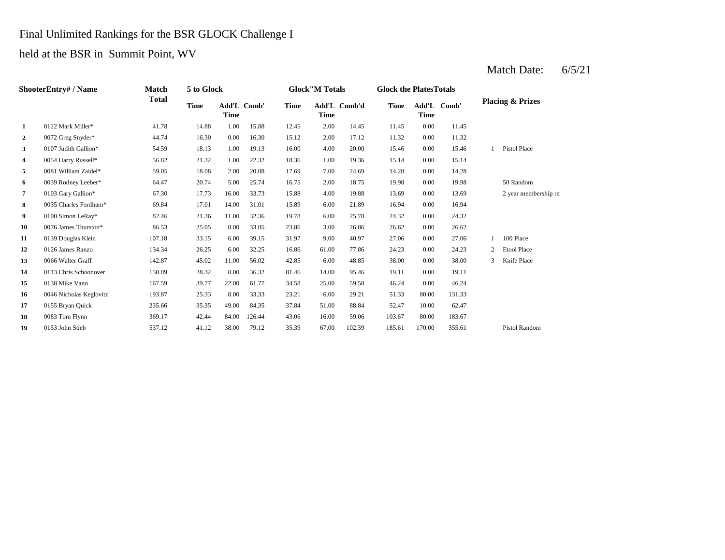#### Final Unlimited Rankings for the BSR GLOCK Challenge I

#### held at the BSR in Summit Point, WV

#### **2** 0072 Greg Snyder\* 44.74 16.30 0.00 16.30 15.12 2.00 17.12 11.32 **3**  $\frac{107 \text{ Judith Gallion*}}{15.46}$  54.59 18.13 1.00 19.13 16.00 4.00 20.00 15.46 **4** 1.00 15.14 0054 Harry Russell\* 56.82 21.32 1.00 22.32 **5** 0081 William Zaidel\* **59.05** 18.08 2.00 20.08 17.69 7.00 24.69 14.28 **6** 0039 Rodney Leeber\* 64.47 20.74 5.00 25.74 16.75 2.00 18.75 19.98 **7** 0103 Gary Gallion\* 67.30 17.73 16.00 33.73 15.88 4.00 19.88 13.69 **8** 0035 Charles Fordham\* 69.84 17.01 14.00 31.01 15.89 6.00 21.89 16.94 **9** 0100 Simon LeRay\* 82.46 21.36 11.00 32.36 19.78 6.00 25.78 24.32 0.00 **10** 0076 James Thurston\* 86.53 25.05 8.00 33.05 23.86 3.00 26.86 26.62 0.00 26.62 **11** 0139 Douglas Klein 107.18 33.15 6.00 39.15 31.97 9.00 40.97 27.06 **12** 61.00 24.23 0126 James Ranzo 134.34 26.25 6.00 32.25 **13 0066** Walter Graff **142.87 15.02 11.00 56.02 42.85 6.00 48.85 38.00 14** 0113 Chris Schoonover 150.89 28.32 8.00 36.32 81.46 14.00 95.46 19.11 **15** 0138 Mike Vann **167.59** 39.77 22.00 61.77 34.58 25.00 59.58 46.24 **16** 0046 Nicholas Keglovitz 193.87 25.33 8.00 33.33 23.21 6.00 29.21 51.33 **17** 0155 Bryan Quick 235.66 35.35 49.00 84.35 37.84 51.00 88.84 52.47 10.00 **18 18 18 16.00 16.00 103.67 188 16.00 103.67 16.00 16.00 103.67 103.67 19** 0153 John Stieb 537.12 41.12 38.00 79.12 35.39 67.00 102.39 185.61 170.00 355.61 Pistol Random 62.47 0083 Tom Flynn 369.17 42.44 84.00 126.44 43.06 59.06 80.00 183.67 80.00 131.33 59.58 0.00 46.24 81.46 95.46 0.00 19.11 48.85 38.00 0.00 38.00 3 Knife Place 16.86 61.00 77.86 24.23 0.00 24.23 2 Etool Place 40.97 27.06 0.00 27.06 1 100 Place 24.32 0.00 16.94 0.00 13.69 2 year membership renewal Random 0.00 19.98 50 Random 24.69 0.00 14.28 18.36 1.00 19.36 15.14 0.00 15.14 20.00 15.46 0.00 15.46 1 Pistol Place 15.12 2.00 17.12 11.32 0.00 11.32 2.00 14.45 11.45 0.00 11.45 **Time Add'L Comb' Time 1** 0122 Mark Miller\* 41.78 14.88 1.00 15.88 12.45 **Time Add'L Comb' Time Time Add'L Comb'd Time ShooterEntry# / Name Match Total 5 to Glock Time Glock"M Totals Glock the PlatesTotals Placing & Prizes**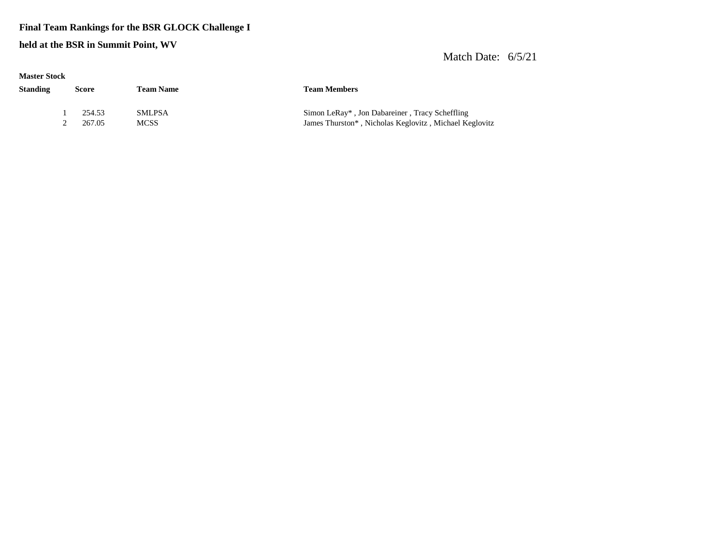#### **Final Team Rankings for the BSR GLOCK Challenge I**

**held at the BSR in Summit Point, WV**

| <b>Master Stock</b> |       |                  |                              |                                                                                                          |  |
|---------------------|-------|------------------|------------------------------|----------------------------------------------------------------------------------------------------------|--|
| <b>Standing</b>     | Score |                  | <b>Team Name</b>             | <b>Team Members</b>                                                                                      |  |
|                     |       | 254.53<br>267.05 | <b>SMLPSA</b><br><b>MCSS</b> | Simon LeRay*, Jon Dabareiner, Tracy Scheffling<br>James Thurston*, Nicholas Keglovitz, Michael Keglovitz |  |
|                     |       |                  |                              |                                                                                                          |  |